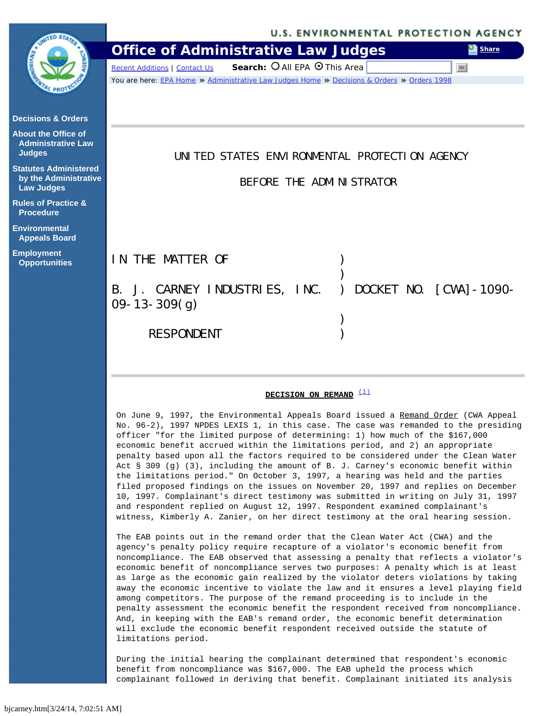### **U.S. ENVIRONMENTAL PROTECTION AGENCY Office of Administrative Law Judges [Share](#page-0-0)**

Go

 $Recent$  Additions | [Contact Us](file:///Volumes/KINGSTON/contact.htm) **Search:**  $\bigcirc$  All EPA  $\bigcirc$  This Area

You are here: [EPA Home](http://www.epa.gov/) >> [Administrative Law Judges Home](file:///Volumes/KINGSTON/index.htm) >> [Decisions & Orders](file:///Volumes/KINGSTON/orders.htm) >> [Orders 1998](file:///Volumes/KINGSTON/orders-1998.htm)

# UNITED STATES ENVIRONMENTAL PROTECTION AGENCY

BEFORE THE ADMINISTRATOR

IN THE MATTER OF (1)  $)$ B. J. CARNEY INDUSTRIES, INC. ) DOCKET NO. [CWA]-1090- 09-13-309(g)  $)$ RESPONDENT (1999)

## **DECISION ON REMAND**<sup>[\(1\)](#page-4-0)</sup>

On June 9, 1997, the Environmental Appeals Board issued a Remand Order (CWA Appeal No. 96-2), 1997 NPDES LEXIS 1, in this case. The case was remanded to the presiding officer "for the limited purpose of determining: 1) how much of the \$167,000 economic benefit accrued within the limitations period, and 2) an appropriate penalty based upon all the factors required to be considered under the Clean Water Act § 309 (g) (3), including the amount of B. J. Carney's economic benefit within the limitations period." On October 3, 1997, a hearing was held and the parties filed proposed findings on the issues on November 20, 1997 and replies on December 10, 1997. Complainant's direct testimony was submitted in writing on July 31, 1997 and respondent replied on August 12, 1997. Respondent examined complainant's witness, Kimberly A. Zanier, on her direct testimony at the oral hearing session.

The EAB points out in the remand order that the Clean Water Act (CWA) and the agency's penalty policy require recapture of a violator's economic benefit from noncompliance. The EAB observed that assessing a penalty that reflects a violator's economic benefit of noncompliance serves two purposes: A penalty which is at least as large as the economic gain realized by the violator deters violations by taking away the economic incentive to violate the law and it ensures a level playing field among competitors. The purpose of the remand proceeding is to include in the penalty assessment the economic benefit the respondent received from noncompliance. And, in keeping with the EAB's remand order, the economic benefit determination will exclude the economic benefit respondent received outside the statute of limitations period.

During the initial hearing the complainant determined that respondent's economic benefit from noncompliance was \$167,000. The EAB upheld the process which complainant followed in deriving that benefit. Complainant initiated its analysis

<span id="page-0-0"></span>

| PROT! |
|-------|
|       |

**[Decisions & Orders](file:///Volumes/KINGSTON/orders.htm)**

**[About the Office of](file:///Volumes/KINGSTON/about.htm)  [Administrative Law](file:///Volumes/KINGSTON/about.htm)  [Judges](file:///Volumes/KINGSTON/about.htm)**

**[Statutes Administered](file:///Volumes/KINGSTON/statutes.htm)  [by the Administrative](file:///Volumes/KINGSTON/statutes.htm)  [Law Judges](file:///Volumes/KINGSTON/statutes.htm)**

**[Rules of Practice &](file:///Volumes/KINGSTON/rules.htm)  [Procedure](file:///Volumes/KINGSTON/rules.htm)**

**[Environmental](http://www.epa.gov/boarddec/)  [Appeals Board](http://www.epa.gov/boarddec/)**

**[Employment](file:///Volumes/KINGSTON/about.htm#employ)  [Opportunities](file:///Volumes/KINGSTON/about.htm#employ)**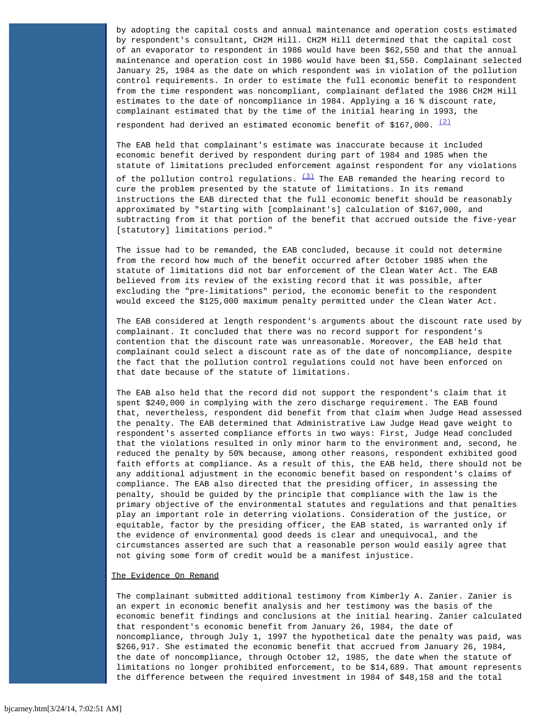by adopting the capital costs and annual maintenance and operation costs estimated by respondent's consultant, CH2M Hill. CH2M Hill determined that the capital cost of an evaporator to respondent in 1986 would have been \$62,550 and that the annual maintenance and operation cost in 1986 would have been \$1,550. Complainant selected January 25, 1984 as the date on which respondent was in violation of the pollution control requirements. In order to estimate the full economic benefit to respondent from the time respondent was noncompliant, complainant deflated the 1986 CH2M Hill estimates to the date of noncompliance in 1984. Applying a 16 % discount rate, complainant estimated that by the time of the initial hearing in 1993, the respondent had derived an estimated economic benefit of \$167,000.  $(2)$ 

The EAB held that complainant's estimate was inaccurate because it included economic benefit derived by respondent during part of 1984 and 1985 when the statute of limitations precluded enforcement against respondent for any violations

of the pollution control regulations.  $\frac{(3)}{2}$  $\frac{(3)}{2}$  $\frac{(3)}{2}$  The EAB remanded the hearing record to cure the problem presented by the statute of limitations. In its remand instructions the EAB directed that the full economic benefit should be reasonably approximated by "starting with [complainant's] calculation of \$167,000, and subtracting from it that portion of the benefit that accrued outside the five-year [statutory] limitations period."

The issue had to be remanded, the EAB concluded, because it could not determine from the record how much of the benefit occurred after October 1985 when the statute of limitations did not bar enforcement of the Clean Water Act. The EAB believed from its review of the existing record that it was possible, after excluding the "pre-limitations" period, the economic benefit to the respondent would exceed the \$125,000 maximum penalty permitted under the Clean Water Act.

The EAB considered at length respondent's arguments about the discount rate used by complainant. It concluded that there was no record support for respondent's contention that the discount rate was unreasonable. Moreover, the EAB held that complainant could select a discount rate as of the date of noncompliance, despite the fact that the pollution control regulations could not have been enforced on that date because of the statute of limitations.

The EAB also held that the record did not support the respondent's claim that it spent \$240,000 in complying with the zero discharge requirement. The EAB found that, nevertheless, respondent did benefit from that claim when Judge Head assessed the penalty. The EAB determined that Administrative Law Judge Head gave weight to respondent's asserted compliance efforts in two ways: First, Judge Head concluded that the violations resulted in only minor harm to the environment and, second, he reduced the penalty by 50% because, among other reasons, respondent exhibited good faith efforts at compliance. As a result of this, the EAB held, there should not be any additional adjustment in the economic benefit based on respondent's claims of compliance. The EAB also directed that the presiding officer, in assessing the penalty, should be guided by the principle that compliance with the law is the primary objective of the environmental statutes and regulations and that penalties play an important role in deterring violations. Consideration of the justice, or equitable, factor by the presiding officer, the EAB stated, is warranted only if the evidence of environmental good deeds is clear and unequivocal, and the circumstances asserted are such that a reasonable person would easily agree that not giving some form of credit would be a manifest injustice.

## The Evidence On Remand

The complainant submitted additional testimony from Kimberly A. Zanier. Zanier is an expert in economic benefit analysis and her testimony was the basis of the economic benefit findings and conclusions at the initial hearing. Zanier calculated that respondent's economic benefit from January 26, 1984, the date of noncompliance, through July 1, 1997 the hypothetical date the penalty was paid, was \$266,917. She estimated the economic benefit that accrued from January 26, 1984, the date of noncompliance, through October 12, 1985, the date when the statute of limitations no longer prohibited enforcement, to be \$14,689. That amount represents the difference between the required investment in 1984 of \$48,158 and the total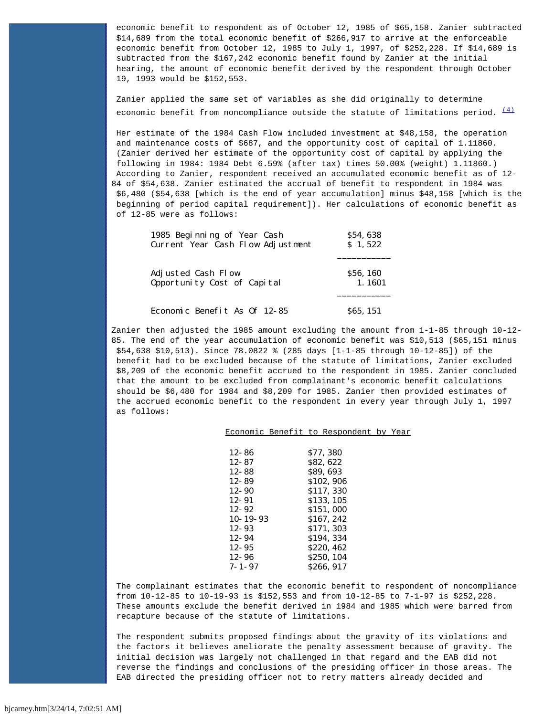economic benefit to respondent as of October 12, 1985 of \$65,158. Zanier subtracted \$14,689 from the total economic benefit of \$266,917 to arrive at the enforceable economic benefit from October 12, 1985 to July 1, 1997, of \$252,228. If \$14,689 is subtracted from the \$167,242 economic benefit found by Zanier at the initial hearing, the amount of economic benefit derived by the respondent through October 19, 1993 would be \$152,553.

Zanier applied the same set of variables as she did originally to determine economic benefit from noncompliance outside the statute of limitations period.  $\frac{(4)}{(4)}$  $\frac{(4)}{(4)}$  $\frac{(4)}{(4)}$ 

Her estimate of the 1984 Cash Flow included investment at \$48,158, the operation and maintenance costs of \$687, and the opportunity cost of capital of 1.11860. (Zanier derived her estimate of the opportunity cost of capital by applying the following in 1984: 1984 Debt 6.59% (after tax) times 50.00% (weight) 1.11860.) According to Zanier, respondent received an accumulated economic benefit as of 12- 84 of \$54,638. Zanier estimated the accrual of benefit to respondent in 1984 was \$6,480 (\$54,638 [which is the end of year accumulation] minus \$48,158 [which is the beginning of period capital requirement]). Her calculations of economic benefit as of 12-85 were as follows:

| 1985 Beginning of Year Cash       | \$54,638        |  |
|-----------------------------------|-----------------|--|
| Current Year Cash Flow Adjustment | $S_1, 522$      |  |
| Adjusted Cash Flow                | <b>\$56,160</b> |  |
| Opportunity Cost of Capital       | 1.1601          |  |
| Economic Benefit As Of 12-85      | <b>865, 151</b> |  |

Zanier then adjusted the 1985 amount excluding the amount from 1-1-85 through 10-12- 85. The end of the year accumulation of economic benefit was \$10,513 (\$65,151 minus \$54,638 \$10,513). Since 78.0822 % (285 days [1-1-85 through 10-12-85]) of the benefit had to be excluded because of the statute of limitations, Zanier excluded \$8,209 of the economic benefit accrued to the respondent in 1985. Zanier concluded that the amount to be excluded from complainant's economic benefit calculations should be \$6,480 for 1984 and \$8,209 for 1985. Zanier then provided estimates of the accrued economic benefit to the respondent in every year through July 1, 1997 as follows:

#### Economic Benefit to Respondent by Year

| $12 - 86$      | \$77,380   |
|----------------|------------|
| $12 - 87$      | \$82,622   |
| $12 - 88$      | \$89,693   |
| $12 - 89$      | \$102,906  |
| $12 - 90$      | \$117, 330 |
| 12-91          | \$133, 105 |
| $12 - 92$      | \$151,000  |
| $10 - 19 - 93$ | \$167, 242 |
| $12 - 93$      | \$171, 303 |
| 12-94          | \$194, 334 |
| $12 - 95$      | \$220, 462 |
| 12-96          | \$250, 104 |
| 7-1-97         | \$266, 917 |
|                |            |

The complainant estimates that the economic benefit to respondent of noncompliance from 10-12-85 to 10-19-93 is \$152,553 and from 10-12-85 to 7-1-97 is \$252,228. These amounts exclude the benefit derived in 1984 and 1985 which were barred from recapture because of the statute of limitations.

The respondent submits proposed findings about the gravity of its violations and the factors it believes ameliorate the penalty assessment because of gravity. The initial decision was largely not challenged in that regard and the EAB did not reverse the findings and conclusions of the presiding officer in those areas. The EAB directed the presiding officer not to retry matters already decided and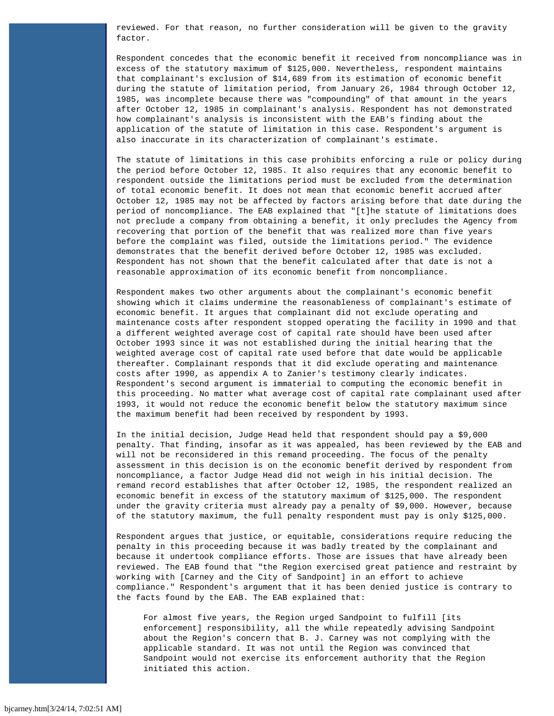reviewed. For that reason, no further consideration will be given to the gravity factor.

Respondent concedes that the economic benefit it received from noncompliance was in excess of the statutory maximum of \$125,000. Nevertheless, respondent maintains that complainant's exclusion of \$14,689 from its estimation of economic benefit during the statute of limitation period, from January 26, 1984 through October 12, 1985, was incomplete because there was "compounding" of that amount in the years after October 12, 1985 in complainant's analysis. Respondent has not demonstrated how complainant's analysis is inconsistent with the EAB's finding about the application of the statute of limitation in this case. Respondent's argument is also inaccurate in its characterization of complainant's estimate.

The statute of limitations in this case prohibits enforcing a rule or policy during the period before October 12, 1985. It also requires that any economic benefit to respondent outside the limitations period must be excluded from the determination of total economic benefit. It does not mean that economic benefit accrued after October 12, 1985 may not be affected by factors arising before that date during the period of noncompliance. The EAB explained that "[t]he statute of limitations does not preclude a company from obtaining a benefit, it only precludes the Agency from recovering that portion of the benefit that was realized more than five years before the complaint was filed, outside the limitations period." The evidence demonstrates that the benefit derived before October 12, 1985 was excluded. Respondent has not shown that the benefit calculated after that date is not a reasonable approximation of its economic benefit from noncompliance.

Respondent makes two other arguments about the complainant's economic benefit showing which it claims undermine the reasonableness of complainant's estimate of economic benefit. It argues that complainant did not exclude operating and maintenance costs after respondent stopped operating the facility in 1990 and that a different weighted average cost of capital rate should have been used after October 1993 since it was not established during the initial hearing that the weighted average cost of capital rate used before that date would be applicable thereafter. Complainant responds that it did exclude operating and maintenance costs after 1990, as appendix A to Zanier's testimony clearly indicates. Respondent's second argument is immaterial to computing the economic benefit in this proceeding. No matter what average cost of capital rate complainant used after 1993, it would not reduce the economic benefit below the statutory maximum since the maximum benefit had been received by respondent by 1993.

In the initial decision, Judge Head held that respondent should pay a \$9,000 penalty. That finding, insofar as it was appealed, has been reviewed by the EAB and will not be reconsidered in this remand proceeding. The focus of the penalty assessment in this decision is on the economic benefit derived by respondent from noncompliance, a factor Judge Head did not weigh in his initial decision. The remand record establishes that after October 12, 1985, the respondent realized an economic benefit in excess of the statutory maximum of \$125,000. The respondent under the gravity criteria must already pay a penalty of \$9,000. However, because of the statutory maximum, the full penalty respondent must pay is only \$125,000.

Respondent argues that justice, or equitable, considerations require reducing the penalty in this proceeding because it was badly treated by the complainant and because it undertook compliance efforts. Those are issues that have already been reviewed. The EAB found that "the Region exercised great patience and restraint by working with [Carney and the City of Sandpoint] in an effort to achieve compliance." Respondent's argument that it has been denied justice is contrary to the facts found by the EAB. The EAB explained that:

For almost five years, the Region urged Sandpoint to fulfill [its enforcement] responsibility, all the while repeatedly advising Sandpoint about the Region's concern that B. J. Carney was not complying with the applicable standard. It was not until the Region was convinced that Sandpoint would not exercise its enforcement authority that the Region initiated this action.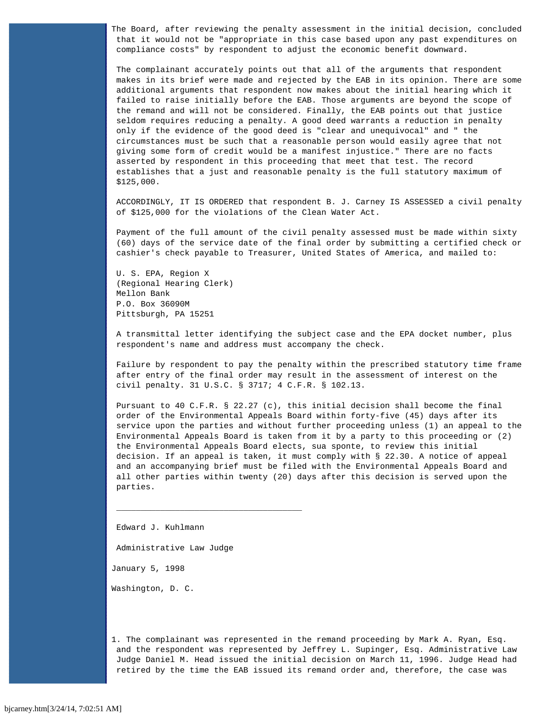The Board, after reviewing the penalty assessment in the initial decision, concluded that it would not be "appropriate in this case based upon any past expenditures on compliance costs" by respondent to adjust the economic benefit downward.

The complainant accurately points out that all of the arguments that respondent makes in its brief were made and rejected by the EAB in its opinion. There are some additional arguments that respondent now makes about the initial hearing which it failed to raise initially before the EAB. Those arguments are beyond the scope of the remand and will not be considered. Finally, the EAB points out that justice seldom requires reducing a penalty. A good deed warrants a reduction in penalty only if the evidence of the good deed is "clear and unequivocal" and " the circumstances must be such that a reasonable person would easily agree that not giving some form of credit would be a manifest injustice." There are no facts asserted by respondent in this proceeding that meet that test. The record establishes that a just and reasonable penalty is the full statutory maximum of \$125,000.

ACCORDINGLY, IT IS ORDERED that respondent B. J. Carney IS ASSESSED a civil penalty of \$125,000 for the violations of the Clean Water Act.

Payment of the full amount of the civil penalty assessed must be made within sixty (60) days of the service date of the final order by submitting a certified check or cashier's check payable to Treasurer, United States of America, and mailed to:

U. S. EPA, Region X (Regional Hearing Clerk) Mellon Bank P.O. Box 36090M Pittsburgh, PA 15251

A transmittal letter identifying the subject case and the EPA docket number, plus respondent's name and address must accompany the check.

Failure by respondent to pay the penalty within the prescribed statutory time frame after entry of the final order may result in the assessment of interest on the civil penalty. 31 U.S.C. § 3717; 4 C.F.R. § 102.13.

Pursuant to 40 C.F.R. § 22.27 (c), this initial decision shall become the final order of the Environmental Appeals Board within forty-five (45) days after its service upon the parties and without further proceeding unless (1) an appeal to the Environmental Appeals Board is taken from it by a party to this proceeding or (2) the Environmental Appeals Board elects, sua sponte, to review this initial decision. If an appeal is taken, it must comply with § 22.30. A notice of appeal and an accompanying brief must be filed with the Environmental Appeals Board and all other parties within twenty (20) days after this decision is served upon the parties.

Edward J. Kuhlmann

Administrative Law Judge

 $\overline{\phantom{a}}$  , and the contract of the contract of  $\overline{\phantom{a}}$ 

January 5, 1998

Washington, D. C.

<span id="page-4-0"></span>1. The complainant was represented in the remand proceeding by Mark A. Ryan, Esq. and the respondent was represented by Jeffrey L. Supinger, Esq. Administrative Law Judge Daniel M. Head issued the initial decision on March 11, 1996. Judge Head had retired by the time the EAB issued its remand order and, therefore, the case was